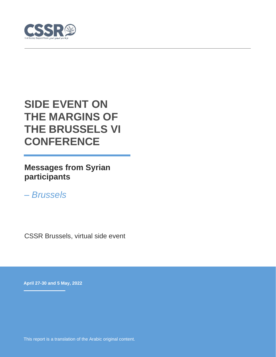

# **SIDE EVENT ON THE MARGINS OF THE BRUSSELS VI CONFERENCE**

**Messages from Syrian participants**

*– Brussels* 

CSSR Brussels, virtual side event

**April 27-30 and 5 May, 2022**

This report is a translation of the Arabic original content.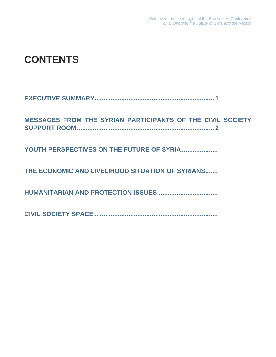# **CONTENTS**

|--|--|

**[MESSAGES FROM THE SYRIAN PARTICIPANTS OF THE CIVIL SOCIETY](#page-3-0)  [SUPPORT ROOM.............................................................................](#page-3-0) 2**

**[YOUTH PERSPECTIVES ON THE FUTURE OF SYRIA](#page-3-1) ....................**

**[THE ECONOMIC AND LIVELIHOOD SITUATION OF SYRIANS.......](#page-4-0)**

**[HUMANITARIAN AND PROTECTION ISSUES..................................](#page-4-1)**

**CIVIL SOCIETY SPACE [.....................................................................](#page-6-0)**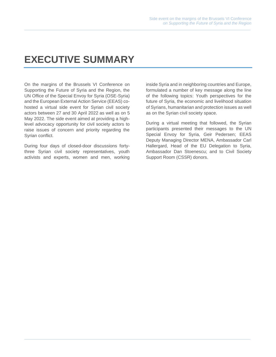## <span id="page-2-0"></span>**EXECUTIVE SUMMARY**

On the margins of the Brussels VI Conference on Supporting the Future of Syria and the Region, the UN Office of the Special Envoy for Syria (OSE-Syria) and the European External Action Service (EEAS) cohosted a virtual side event for Syrian civil society actors between 27 and 30 April 2022 as well as on 5 May 2022. The side event aimed at providing a highlevel advocacy opportunity for civil society actors to raise issues of concern and priority regarding the Syrian conflict.

During four days of closed-door discussions fortythree Syrian civil society representatives, youth activists and experts, women and men, working inside Syria and in neighboring countries and Europe, formulated a number of key message along the line of the following topics: Youth perspectives for the future of Syria, the economic and livelihood situation of Syrians, humanitarian and protection issues as well as on the Syrian civil society space.

During a virtual meeting that followed, the Syrian participants presented their messages to the UN Special Envoy for Syria, Geir Pedersen; EEAS Deputy Managing Director MENA, Ambassador Carl Hallergard, Head of the EU Delegation to Syria, Ambassador Dan Stoenescu; and to Civil Society Support Room (CSSR) donors.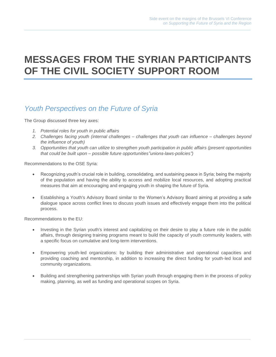## <span id="page-3-0"></span>**MESSAGES FROM THE SYRIAN PARTICIPANTS OF THE CIVIL SOCIETY SUPPORT ROOM**

#### <span id="page-3-1"></span>*Youth Perspectives on the Future of Syria*

The Group discussed three key axes:

- *1. Potential roles for youth in public affairs*
- *2. Challenges facing youth (internal challenges – challenges that youth can influence – challenges beyond the influence of youth)*
- *3. Opportunities that youth can utilize to strengthen youth participation in public affairs (present opportunities that could be built upon – possible future opportunities"unions-laws-policies")*

Recommendations to the OSE Syria:

- Recognizing youth's crucial role in building, consolidating, and sustaining peace in Syria; being the majority of the population and having the ability to access and mobilize local resources, and adopting practical measures that aim at encouraging and engaging youth in shaping the future of Syria.
- Establishing a Youth's Advisory Board similar to the Women's Advisory Board aiming at providing a safe dialogue space across conflict lines to discuss youth issues and effectively engage them into the political process.

Recommendations to the EU:

- Investing in the Syrian youth's interest and capitalizing on their desire to play a future role in the public affairs, through designing training programs meant to build the capacity of youth community leaders, with a specific focus on cumulative and long-term interventions.
- Empowering youth-led organizations: by building their administrative and operational capacities and providing coaching and mentorship, in addition to increasing the direct funding for youth-led local and community organizations.
- Building and strengthening partnerships with Syrian youth through engaging them in the process of policy making, planning, as well as funding and operational scopes on Syria.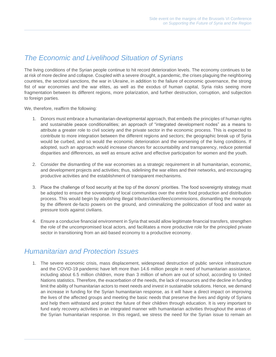### <span id="page-4-0"></span>*The Economic and Livelihood Situation of Syrians*

The living conditions of the Syrian people continue to hit record deterioration levels. The economy continues to be at risk of more decline and collapse. Coupled with a severe drought, a pandemic, the crises plaguing the neighboring countries, the sectoral sanctions, the war in Ukraine, in addition to the failure of economic governance, the strong fist of war economies and the war elites, as well as the exodus of human capital, Syria risks seeing more fragmentation between its different regions, more polarization, and further destruction, corruption, and subjection to foreign parties.

We, therefore, reaffirm the following:

- 1. Donors must embrace a humanitarian-developmental approach, that embeds the principles of human rights and sustainable peace conditionalities; an approach of "integrated development nodes" as a means to attribute a greater role to civil society and the private sector in the economic process. This is expected to contribute to more integration between the different regions and sectors; the geographic break up of Syria would be curbed, and so would the economic deterioration and the worsening of the living conditions. If adopted, such an approach would increase chances for accountability and transparency, reduce potential disparities and differences, as well as ensure active and effective participation for women and the youth.
- 2. Consider the dismantling of the war economies as a strategic requirement in all humanitarian, economic, and development projects and activities; thus, sidelining the war elites and their networks, and encouraging productive activities and the establishment of transparent mechanisms.
- 3. Place the challenge of food security at the top of the donors' priorities. The food sovereignty strategy must be adopted to ensure the sovereignty of local communities over the entire food production and distribution process. This would begin by abolishing illegal tributes\dues\fees\commissions, dismantling the monopoly by the different de-facto powers on the ground, and criminalizing the politicization of food and water as pressure tools against civilians.
- 4. Ensure a conducive financial environment in Syria that would allow legitimate financial transfers, strengthen the role of the uncompromised local actors, and facilitates a more productive role for the principled private sector in transitioning from an aid-based economy to a productive economy.

### <span id="page-4-1"></span>*Humanitarian and Protection Issues*

1. The severe economic crisis, mass displacement, widespread destruction of public service infrastructure and the COVID-19 pandemic have left more than 14.6 million people in need of humanitarian assistance, including about 6.5 million children, more than 3 million of whom are out of school, according to United Nations statistics. Therefore, the exacerbation of the needs, the lack of resources and the decline in funding limit the ability of humanitarian actors to meet needs and invest in sustainable solutions. Hence, we demand an increase in funding for the Syrian humanitarian response, as it will have a direct impact on improving the lives of the affected groups and meeting the basic needs that preserve the lives and dignity of Syrians and help them withstand and protect the future of their children through education. It is very important to fund early recovery activities in an integrated manner with humanitarian activities throughout the areas of the Syrian humanitarian response. In this regard, we stress the need for the Syrian issue to remain an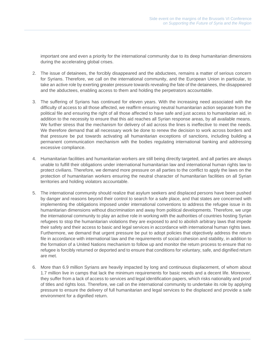important one and even a priority for the international community due to its deep humanitarian dimensions during the accelerating global crises.

- 2. The issue of detainees, the forcibly disappeared and the abductees, remains a matter of serious concern for Syrians. Therefore, we call on the international community, and the European Union in particular, to take an active role by exerting greater pressure towards revealing the fate of the detainees, the disappeared and the abductees, enabling access to them and holding the perpetrators accountable.
- 3. The suffering of Syrians has continued for eleven years. With the increasing need associated with the difficulty of access to all those affected, we reaffirm ensuring neutral humanitarian action separate from the political file and ensuring the right of all those affected to have safe and just access to humanitarian aid, in addition to the necessity to ensure that this aid reaches all Syrian response areas, by all available means. We further stress that the mechanism for delivery of aid across the lines is ineffective to meet the needs. We therefore demand that all necessary work be done to renew the decision to work across borders and that pressure be put towards activating all humanitarian exceptions of sanctions, including building a permanent communication mechanism with the bodies regulating international banking and addressing excessive compliance.
- 4. Humanitarian facilities and humanitarian workers are still being directly targeted, and all parties are always unable to fulfill their obligations under international humanitarian law and international human rights law to protect civilians. Therefore, we demand more pressure on all parties to the conflict to apply the laws on the protection of humanitarian workers ensuring the neutral character of humanitarian facilities on all Syrian territories and holding violators accountable.
- 5. The international community should realize that asylum seekers and displaced persons have been pushed by danger and reasons beyond their control to search for a safe place, and that states are concerned with implementing the obligations imposed under international conventions to address the refugee issue in its humanitarian dimensions without discrimination and away from political developments. Therefore, we urge the international community to play an active role in working with the authorities of countries hosting Syrian refugees to stop the humanitarian violations they are exposed to and to abolish arbitrary laws that impede their safety and their access to basic and legal services in accordance with international human rights laws. Furthermore, we demand that urgent pressure be put to adopt policies that objectively address the return file in accordance with international law and the requirements of social cohesion and stability, in addition to the formation of a United Nations mechanism to follow up and monitor the return process to ensure that no refugee is forcibly returned or deported and to ensure that conditions for voluntary, safe, and dignified return are met.
- 6. More than 6.9 million Syrians are heavily impacted by long and continuous displacement, of whom about 1.7 million live in camps that lack the minimum requirements for basic needs and a decent life. Moreover, they suffer from a lack of access to services and legal identification papers, which risks nationality and proof of titles and rights loss. Therefore, we call on the international community to undertake its role by applying pressure to ensure the delivery of full humanitarian and legal services to the displaced and provide a safe environment for a dignified return.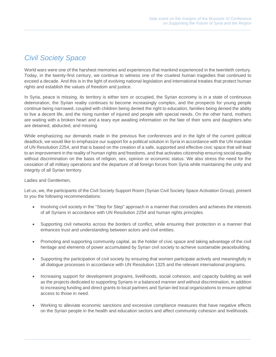### <span id="page-6-0"></span>*Civil Society Space*

World wars were one of the harshest memories and experiences that mankind experienced in the twentieth century. Today, in the twenty-first century, we continue to witness one of the cruelest human tragedies that continued to exceed a decade. And this is in the light of evolving national legislation and international treaties that protect human rights and establish the values of freedom and justice.

In Syria, peace is missing, its territory is either torn or occupied, the Syrian economy is in a state of continuous deterioration, the Syrian reality continues to become increasingly complex, and the prospects for young people continue being narrowed, coupled with children being denied the right to education, families being denied the ability to live a decent life, and the rising number of injured and people with special needs. On the other hand, mothers are waiting with a broken heart and a teary eye awaiting information on the fate of their sons and daughters who are detained, abducted, and missing.

While emphasizing our demands made in the previous five conferences and in the light of the current political deadlock, we would like to emphasize our support for a political solution in Syria in accordance with the UN mandate of UN Resolution 2254, and that is based on the creation of a safe, supported and effective civic space that will lead to an improvement in the reality of human rights and freedoms, and that activates citizenship ensuring social equality without discrimination on the basis of religion, sex, opinion or economic status. We also stress the need for the cessation of all military operations and the departure of all foreign forces from Syria while maintaining the unity and integrity of all Syrian territory.

#### Ladies and Gentlemen,

Let us, we, the participants of the Civil Society Support Room (Syrian Civil Society Space Activation Group), present to you the following recommendations:

- Involving civil society in the "Step for Step" approach in a manner that considers and achieves the interests of all Syrians in accordance with UN Resolution 2254 and human rights principles.
- Supporting civil networks across the borders of conflict, while ensuring their protection in a manner that enhances trust and understanding between actors and civil entities.
- Promoting and supporting community capital, as the holder of civic space and taking advantage of the civil heritage and elements of power accumulated by Syrian civil society to achieve sustainable peacebuilding.
- Supporting the participation of civil society by ensuring that women participate actively and meaningfully in all dialogue processes in accordance with UN Resolution 1325 and the relevant international programs.
- Increasing support for development programs, livelihoods, social cohesion, and capacity building as well as the projects dedicated to supporting Syrians in a balanced manner and without discrimination, in addition to increasing funding and direct grants to local partners and Syrian-led local organizations to ensure optimal access to those in need.
- Working to alleviate economic sanctions and excessive compliance measures that have negative effects on the Syrian people in the health and education sectors and affect community cohesion and livelihoods.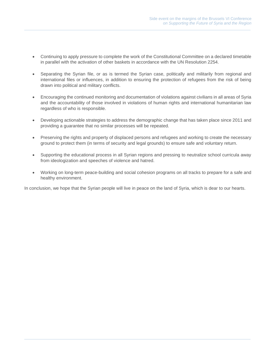- Continuing to apply pressure to complete the work of the Constitutional Committee on a declared timetable in parallel with the activation of other baskets in accordance with the UN Resolution 2254.
- Separating the Syrian file, or as is termed the Syrian case, politically and militarily from regional and international files or influences, in addition to ensuring the protection of refugees from the risk of being drawn into political and military conflicts.
- Encouraging the continued monitoring and documentation of violations against civilians in all areas of Syria and the accountability of those involved in violations of human rights and international humanitarian law regardless of who is responsible.
- Developing actionable strategies to address the demographic change that has taken place since 2011 and providing a guarantee that no similar processes will be repeated.
- Preserving the rights and property of displaced persons and refugees and working to create the necessary ground to protect them (in terms of security and legal grounds) to ensure safe and voluntary return.
- Supporting the educational process in all Syrian regions and pressing to neutralize school curricula away from ideologization and speeches of violence and hatred.
- Working on long-term peace-building and social cohesion programs on all tracks to prepare for a safe and healthy environment.

In conclusion, we hope that the Syrian people will live in peace on the land of Syria, which is dear to our hearts.